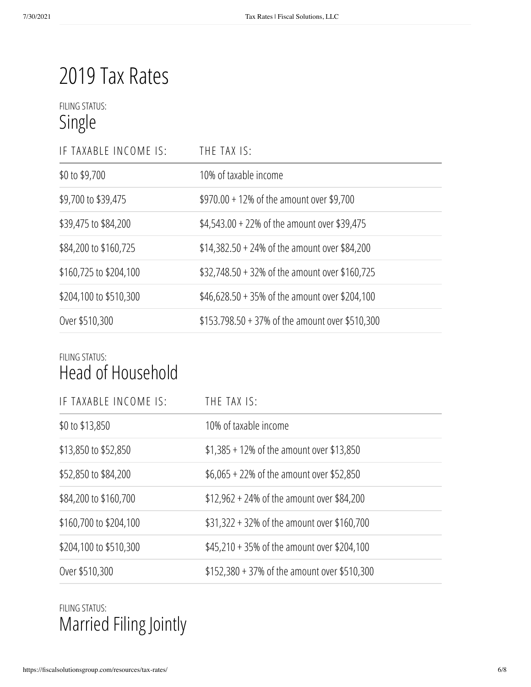# 2019 Tax Rates

### FILING STATUS: Single

| IF TAXABLE INCOME IS:  | THE TAX IS:                                     |
|------------------------|-------------------------------------------------|
| \$0 to \$9,700         | 10% of taxable income                           |
| \$9,700 to \$39,475    | $$970.00 + 12\%$ of the amount over \$9,700     |
| \$39,475 to \$84,200   | $$4,543.00 + 22\%$ of the amount over \$39,475  |
| \$84,200 to \$160,725  | $$14,382.50 + 24\%$ of the amount over \$84,200 |
| \$160,725 to \$204,100 | \$32,748.50 + 32% of the amount over \$160,725  |
| \$204,100 to \$510,300 | \$46,628.50 + 35% of the amount over \$204,100  |
| Over \$510,300         | \$153.798.50 + 37% of the amount over \$510,300 |

#### FILING STATUS: Head of Household

| IF TAXABLE INCOME IS:  | THE TAX IS:                                   |
|------------------------|-----------------------------------------------|
| \$0 to \$13,850        | 10% of taxable income                         |
| \$13,850 to \$52,850   | $$1,385 + 12\%$ of the amount over \$13,850   |
| \$52,850 to \$84,200   | $$6,065 + 22\%$ of the amount over \$52,850   |
| \$84,200 to \$160,700  | $$12,962 + 24\%$ of the amount over \$84,200  |
| \$160,700 to \$204,100 | \$31,322 + 32% of the amount over \$160,700   |
| \$204,100 to \$510,300 | $$45,210 + 35\%$ of the amount over \$204,100 |
| Over \$510,300         | \$152,380 + 37% of the amount over \$510,300  |

## FILING STATUS: Married Filing Jointly